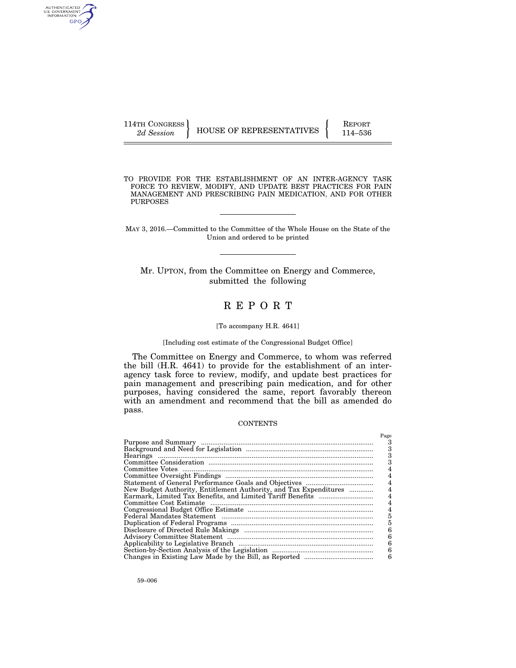AUTHENTICATED<br>U.S. GOVERNMENT<br>INFORMATION GPO

TO PROVIDE FOR THE ESTABLISHMENT OF AN INTER-AGENCY TASK FORCE TO REVIEW, MODIFY, AND UPDATE BEST PRACTICES FOR PAIN MANAGEMENT AND PRESCRIBING PAIN MEDICATION, AND FOR OTHER PURPOSES

MAY 3, 2016.—Committed to the Committee of the Whole House on the State of the Union and ordered to be printed

Mr. UPTON, from the Committee on Energy and Commerce, submitted the following

## R E P O R T

#### [To accompany H.R. 4641]

#### [Including cost estimate of the Congressional Budget Office]

The Committee on Energy and Commerce, to whom was referred the bill (H.R. 4641) to provide for the establishment of an interagency task force to review, modify, and update best practices for pain management and prescribing pain medication, and for other purposes, having considered the same, report favorably thereon with an amendment and recommend that the bill as amended do pass.

#### **CONTENTS**

|                                                                   | Page |
|-------------------------------------------------------------------|------|
|                                                                   |      |
|                                                                   | 3    |
|                                                                   | з    |
|                                                                   | 3    |
|                                                                   |      |
|                                                                   |      |
|                                                                   |      |
| New Budget Authority, Entitlement Authority, and Tax Expenditures |      |
|                                                                   |      |
|                                                                   |      |
|                                                                   |      |
|                                                                   | 5    |
|                                                                   | 5    |
|                                                                   | 6    |
|                                                                   | 6    |
|                                                                   | 6    |
|                                                                   | 6    |
|                                                                   | 6    |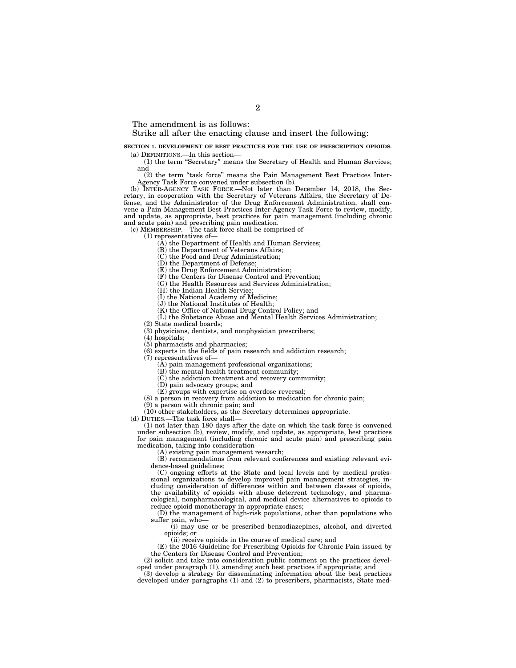The amendment is as follows:

#### Strike all after the enacting clause and insert the following:

#### **SECTION 1. DEVELOPMENT OF BEST PRACTICES FOR THE USE OF PRESCRIPTION OPIOIDS.**  (a) DEFINITIONS.—In this section—

(1) the term ''Secretary'' means the Secretary of Health and Human Services; and

(2) the term ''task force'' means the Pain Management Best Practices Inter-Agency Task Force convened under subsection (b).

(b) INTER-AGENCY TASK FORCE.—Not later than December 14, 2018, the Secretary, in cooperation with the Secretary of Veterans Affairs, the Secretary of Defense, and the Administrator of the Drug Enforcement Administration, shall convene a Pain Management Best Practices Inter-Agency Task Force to review, modify, and update, as appropriate, best practices for pain management (including chronic and acute pain) and prescribing pain medication.

(c) MEMBERSHIP.—The task force shall be comprised of—

(1) representatives of—

(A) the Department of Health and Human Services;

(B) the Department of Veterans Affairs;

(C) the Food and Drug Administration;

(D) the Department of Defense;

(E) the Drug Enforcement Administration;

(F) the Centers for Disease Control and Prevention;

(G) the Health Resources and Services Administration;

(H) the Indian Health Service;

(I) the National Academy of Medicine;

(J) the National Institutes of Health;

(K) the Office of National Drug Control Policy; and

(L) the Substance Abuse and Mental Health Services Administration;

(2) State medical boards;

(3) physicians, dentists, and nonphysician prescribers;

(4) hospitals;

(5) pharmacists and pharmacies;

(6) experts in the fields of pain research and addiction research;

(7) representatives of—

(A) pain management professional organizations;

(B) the mental health treatment community;

(C) the addiction treatment and recovery community;

(D) pain advocacy groups; and

(E) groups with expertise on overdose reversal;

(8) a person in recovery from addiction to medication for chronic pain;

(9) a person with chronic pain; and

(10) other stakeholders, as the Secretary determines appropriate.

(d) DUTIES.—The task force shall—

(1) not later than 180 days after the date on which the task force is convened under subsection (b), review, modify, and update, as appropriate, best practices for pain management (including chronic and acute pain) and prescribing pain medication, taking into consideration—

(A) existing pain management research;

(B) recommendations from relevant conferences and existing relevant evidence-based guidelines;

(C) ongoing efforts at the State and local levels and by medical professional organizations to develop improved pain management strategies, including consideration of differences within and between classes of opioids, the availability of opioids with abuse deterrent technology, and pharmacological, nonpharmacological, and medical device alternatives to opioids to reduce opioid monotherapy in appropriate cases;

(D) the management of high-risk populations, other than populations who suffer pain, who—

(i) may use or be prescribed benzodiazepines, alcohol, and diverted opioids; or

(ii) receive opioids in the course of medical care; and

(E) the 2016 Guideline for Prescribing Opioids for Chronic Pain issued by the Centers for Disease Control and Prevention;

(2) solicit and take into consideration public comment on the practices developed under paragraph (1), amending such best practices if appropriate; and

(3) develop a strategy for disseminating information about the best practices developed under paragraphs (1) and (2) to prescribers, pharmacists, State med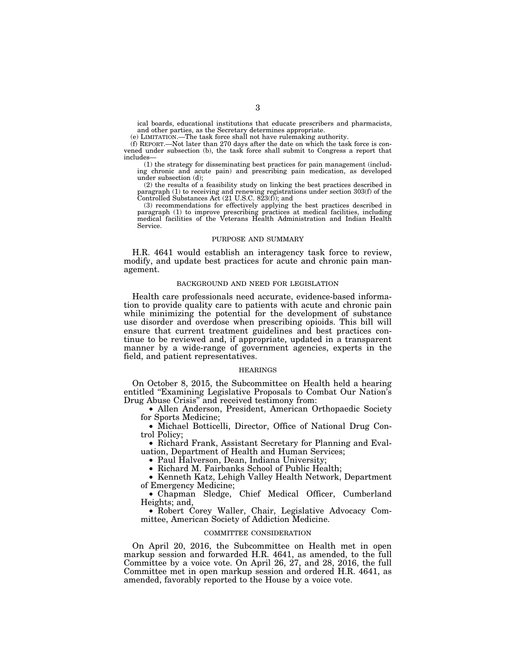ical boards, educational institutions that educate prescribers and pharmacists, and other parties, as the Secretary determines appropriate.

(e) LIMITATION.—The task force shall not have rulemaking authority.

(f) REPORT.—Not later than 270 days after the date on which the task force is convened under subsection (b), the task force shall submit to Congress a report that includes—

(1) the strategy for disseminating best practices for pain management (including chronic and acute pain) and prescribing pain medication, as developed under subsection (d);

(2) the results of a feasibility study on linking the best practices described in paragraph (1) to receiving and renewing registrations under section 303(f) of the Controlled Substances Act (21 U.S.C. 823(f)); and

(3) recommendations for effectively applying the best practices described in paragraph (1) to improve prescribing practices at medical facilities, including medical facilities of the Veterans Health Administration and Indian Health Service.

#### PURPOSE AND SUMMARY

H.R. 4641 would establish an interagency task force to review, modify, and update best practices for acute and chronic pain management.

### BACKGROUND AND NEED FOR LEGISLATION

Health care professionals need accurate, evidence-based information to provide quality care to patients with acute and chronic pain while minimizing the potential for the development of substance use disorder and overdose when prescribing opioids. This bill will ensure that current treatment guidelines and best practices continue to be reviewed and, if appropriate, updated in a transparent manner by a wide-range of government agencies, experts in the field, and patient representatives.

#### HEARINGS

On October 8, 2015, the Subcommittee on Health held a hearing entitled "Examining Legislative Proposals to Combat Our Nation's Drug Abuse Crisis'' and received testimony from:

• Allen Anderson, President, American Orthopaedic Society for Sports Medicine;

• Michael Botticelli, Director, Office of National Drug Control Policy;

• Richard Frank, Assistant Secretary for Planning and Evaluation, Department of Health and Human Services;

• Paul Halverson, Dean, Indiana University;

• Richard M. Fairbanks School of Public Health;

• Kenneth Katz, Lehigh Valley Health Network, Department of Emergency Medicine;

• Chapman Sledge, Chief Medical Officer, Cumberland Heights; and,

• Robert Corey Waller, Chair, Legislative Advocacy Committee, American Society of Addiction Medicine.

### COMMITTEE CONSIDERATION

On April 20, 2016, the Subcommittee on Health met in open markup session and forwarded H.R. 4641, as amended, to the full Committee by a voice vote. On April 26, 27, and 28, 2016, the full Committee met in open markup session and ordered H.R. 4641, as amended, favorably reported to the House by a voice vote.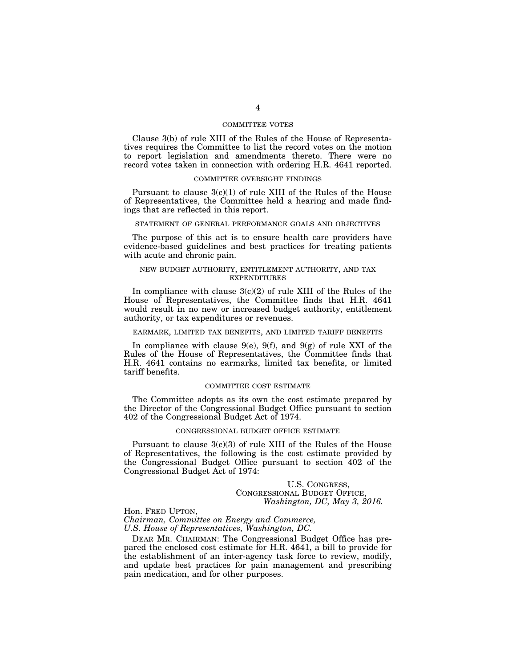#### COMMITTEE VOTES

Clause 3(b) of rule XIII of the Rules of the House of Representatives requires the Committee to list the record votes on the motion to report legislation and amendments thereto. There were no record votes taken in connection with ordering H.R. 4641 reported.

#### COMMITTEE OVERSIGHT FINDINGS

Pursuant to clause  $3(c)(1)$  of rule XIII of the Rules of the House of Representatives, the Committee held a hearing and made findings that are reflected in this report.

#### STATEMENT OF GENERAL PERFORMANCE GOALS AND OBJECTIVES

The purpose of this act is to ensure health care providers have evidence-based guidelines and best practices for treating patients with acute and chronic pain.

#### NEW BUDGET AUTHORITY, ENTITLEMENT AUTHORITY, AND TAX EXPENDITURES

In compliance with clause  $3(c)(2)$  of rule XIII of the Rules of the House of Representatives, the Committee finds that H.R. 4641 would result in no new or increased budget authority, entitlement authority, or tax expenditures or revenues.

#### EARMARK, LIMITED TAX BENEFITS, AND LIMITED TARIFF BENEFITS

In compliance with clause  $9(e)$ ,  $9(f)$ , and  $9(g)$  of rule XXI of the Rules of the House of Representatives, the Committee finds that H.R. 4641 contains no earmarks, limited tax benefits, or limited tariff benefits.

#### COMMITTEE COST ESTIMATE

The Committee adopts as its own the cost estimate prepared by the Director of the Congressional Budget Office pursuant to section 402 of the Congressional Budget Act of 1974.

#### CONGRESSIONAL BUDGET OFFICE ESTIMATE

Pursuant to clause 3(c)(3) of rule XIII of the Rules of the House of Representatives, the following is the cost estimate provided by the Congressional Budget Office pursuant to section 402 of the Congressional Budget Act of 1974:

# U.S. CONGRESS,<br>CONGRESSIONAL BUDGET OFFICE, *Washington, DC, May 3, 2016.*

Hon. FRED UPTON, *Chairman, Committee on Energy and Commerce, U.S. House of Representatives, Washington, DC.* 

DEAR MR. CHAIRMAN: The Congressional Budget Office has prepared the enclosed cost estimate for H.R.  $4641$ , a bill to provide for the establishment of an inter-agency task force to review, modify, and update best practices for pain management and prescribing pain medication, and for other purposes.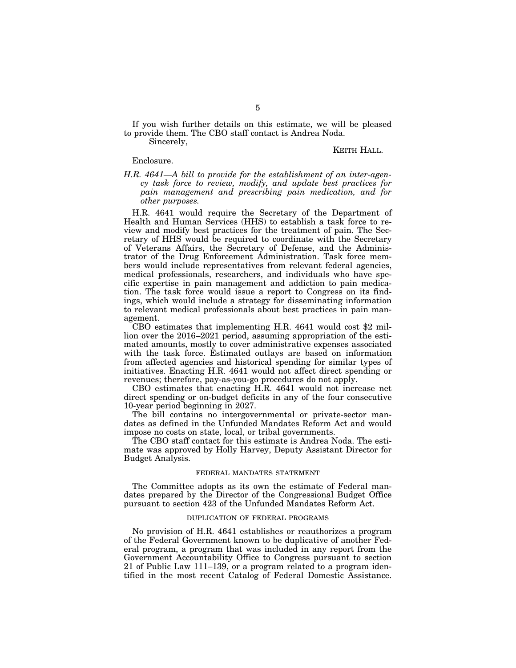If you wish further details on this estimate, we will be pleased to provide them. The CBO staff contact is Andrea Noda.

Sincerely,

#### KEITH HALL.

#### Enclosure.

#### *H.R. 4641—A bill to provide for the establishment of an inter-agency task force to review, modify, and update best practices for pain management and prescribing pain medication, and for other purposes.*

H.R. 4641 would require the Secretary of the Department of Health and Human Services (HHS) to establish a task force to review and modify best practices for the treatment of pain. The Secretary of HHS would be required to coordinate with the Secretary of Veterans Affairs, the Secretary of Defense, and the Administrator of the Drug Enforcement Administration. Task force members would include representatives from relevant federal agencies, medical professionals, researchers, and individuals who have specific expertise in pain management and addiction to pain medication. The task force would issue a report to Congress on its findings, which would include a strategy for disseminating information to relevant medical professionals about best practices in pain management.

CBO estimates that implementing H.R. 4641 would cost \$2 million over the 2016–2021 period, assuming appropriation of the estimated amounts, mostly to cover administrative expenses associated with the task force. Estimated outlays are based on information from affected agencies and historical spending for similar types of initiatives. Enacting H.R. 4641 would not affect direct spending or revenues; therefore, pay-as-you-go procedures do not apply.

CBO estimates that enacting H.R. 4641 would not increase net direct spending or on-budget deficits in any of the four consecutive 10-year period beginning in 2027.

The bill contains no intergovernmental or private-sector mandates as defined in the Unfunded Mandates Reform Act and would impose no costs on state, local, or tribal governments.

The CBO staff contact for this estimate is Andrea Noda. The estimate was approved by Holly Harvey, Deputy Assistant Director for Budget Analysis.

#### FEDERAL MANDATES STATEMENT

The Committee adopts as its own the estimate of Federal mandates prepared by the Director of the Congressional Budget Office pursuant to section 423 of the Unfunded Mandates Reform Act.

#### DUPLICATION OF FEDERAL PROGRAMS

No provision of H.R. 4641 establishes or reauthorizes a program of the Federal Government known to be duplicative of another Federal program, a program that was included in any report from the Government Accountability Office to Congress pursuant to section 21 of Public Law 111–139, or a program related to a program identified in the most recent Catalog of Federal Domestic Assistance.